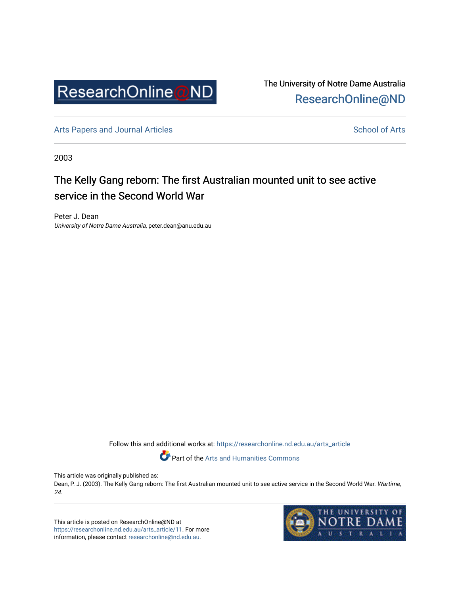

The University of Notre Dame Australia [ResearchOnline@ND](https://researchonline.nd.edu.au/) 

[Arts Papers and Journal Articles](https://researchonline.nd.edu.au/arts_article) and [School of Arts](https://researchonline.nd.edu.au/arts) School of Arts

2003

## The Kelly Gang reborn: The first Australian mounted unit to see active service in the Second World War

Peter J. Dean University of Notre Dame Australia, peter.dean@anu.edu.au

Follow this and additional works at: [https://researchonline.nd.edu.au/arts\\_article](https://researchonline.nd.edu.au/arts_article?utm_source=researchonline.nd.edu.au%2Farts_article%2F11&utm_medium=PDF&utm_campaign=PDFCoverPages) 

Part of the [Arts and Humanities Commons](http://network.bepress.com/hgg/discipline/438?utm_source=researchonline.nd.edu.au%2Farts_article%2F11&utm_medium=PDF&utm_campaign=PDFCoverPages) 

This article was originally published as:

Dean, P. J. (2003). The Kelly Gang reborn: The first Australian mounted unit to see active service in the Second World War. Wartime, 24.

This article is posted on ResearchOnline@ND at [https://researchonline.nd.edu.au/arts\\_article/11.](https://researchonline.nd.edu.au/arts_article/11) For more information, please contact [researchonline@nd.edu.au.](mailto:researchonline@nd.edu.au)

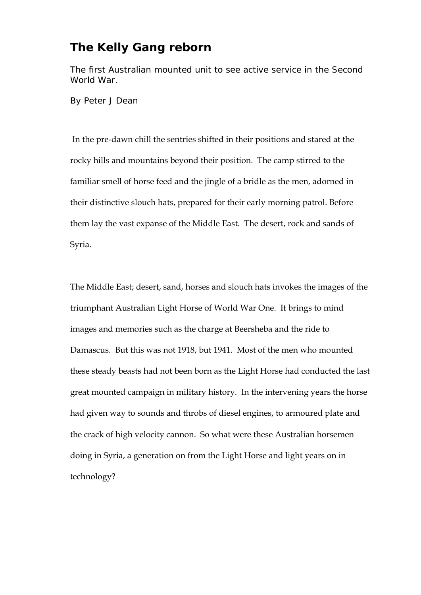## **The Kelly Gang reborn**

The first Australian mounted unit to see active service in the Second World War.

By Peter J Dean

 In the pre-dawn chill the sentries shifted in their positions and stared at the rocky hills and mountains beyond their position. The camp stirred to the familiar smell of horse feed and the jingle of a bridle as the men, adorned in their distinctive slouch hats, prepared for their early morning patrol. Before them lay the vast expanse of the Middle East. The desert, rock and sands of Syria.

The Middle East; desert, sand, horses and slouch hats invokes the images of the triumphant Australian Light Horse of World War One. It brings to mind images and memories such as the charge at Beersheba and the ride to Damascus. But this was not 1918, but 1941. Most of the men who mounted these steady beasts had not been born as the Light Horse had conducted the last great mounted campaign in military history. In the intervening years the horse had given way to sounds and throbs of diesel engines, to armoured plate and the crack of high velocity cannon. So what were these Australian horsemen doing in Syria, a generation on from the Light Horse and light years on in technology?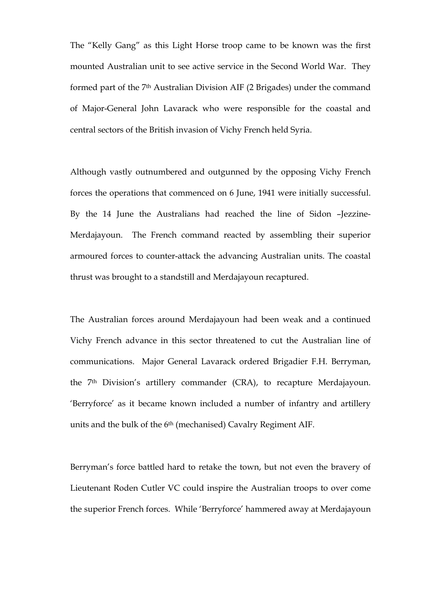The "Kelly Gang" as this Light Horse troop came to be known was the first mounted Australian unit to see active service in the Second World War. They formed part of the 7<sup>th</sup> Australian Division AIF (2 Brigades) under the command of Major-General John Lavarack who were responsible for the coastal and central sectors of the British invasion of Vichy French held Syria.

Although vastly outnumbered and outgunned by the opposing Vichy French forces the operations that commenced on 6 June, 1941 were initially successful. By the 14 June the Australians had reached the line of Sidon –Jezzine-Merdajayoun. The French command reacted by assembling their superior armoured forces to counter-attack the advancing Australian units. The coastal thrust was brought to a standstill and Merdajayoun recaptured.

The Australian forces around Merdajayoun had been weak and a continued Vichy French advance in this sector threatened to cut the Australian line of communications. Major General Lavarack ordered Brigadier F.H. Berryman, the 7th Division's artillery commander (CRA), to recapture Merdajayoun. 'Berryforce' as it became known included a number of infantry and artillery units and the bulk of the 6<sup>th</sup> (mechanised) Cavalry Regiment AIF.

Berryman's force battled hard to retake the town, but not even the bravery of Lieutenant Roden Cutler VC could inspire the Australian troops to over come the superior French forces. While 'Berryforce' hammered away at Merdajayoun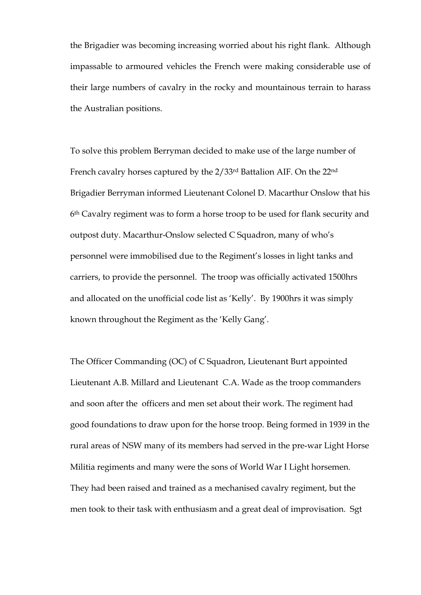the Brigadier was becoming increasing worried about his right flank. Although impassable to armoured vehicles the French were making considerable use of their large numbers of cavalry in the rocky and mountainous terrain to harass the Australian positions.

To solve this problem Berryman decided to make use of the large number of French cavalry horses captured by the 2/33rd Battalion AIF. On the 22nd Brigadier Berryman informed Lieutenant Colonel D. Macarthur Onslow that his 6th Cavalry regiment was to form a horse troop to be used for flank security and outpost duty. Macarthur-Onslow selected C Squadron, many of who's personnel were immobilised due to the Regiment's losses in light tanks and carriers, to provide the personnel. The troop was officially activated 1500hrs and allocated on the unofficial code list as 'Kelly'. By 1900hrs it was simply known throughout the Regiment as the 'Kelly Gang'.

The Officer Commanding (OC) of C Squadron, Lieutenant Burt appointed Lieutenant A.B. Millard and Lieutenant C.A. Wade as the troop commanders and soon after the officers and men set about their work. The regiment had good foundations to draw upon for the horse troop. Being formed in 1939 in the rural areas of NSW many of its members had served in the pre-war Light Horse Militia regiments and many were the sons of World War I Light horsemen. They had been raised and trained as a mechanised cavalry regiment, but the men took to their task with enthusiasm and a great deal of improvisation. Sgt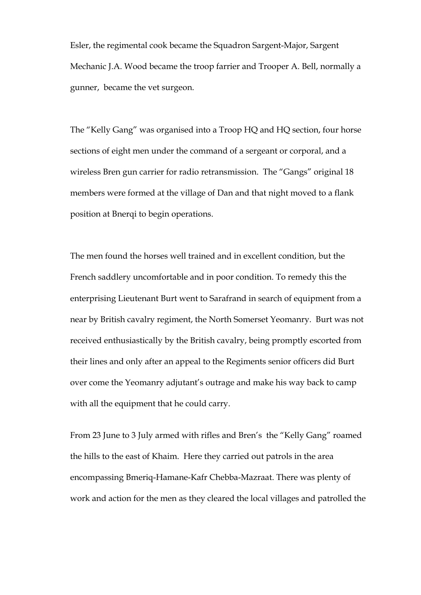Esler, the regimental cook became the Squadron Sargent-Major, Sargent Mechanic J.A. Wood became the troop farrier and Trooper A. Bell, normally a gunner, became the vet surgeon.

The "Kelly Gang" was organised into a Troop HQ and HQ section, four horse sections of eight men under the command of a sergeant or corporal, and a wireless Bren gun carrier for radio retransmission. The "Gangs" original 18 members were formed at the village of Dan and that night moved to a flank position at Bnerqi to begin operations.

The men found the horses well trained and in excellent condition, but the French saddlery uncomfortable and in poor condition. To remedy this the enterprising Lieutenant Burt went to Sarafrand in search of equipment from a near by British cavalry regiment, the North Somerset Yeomanry. Burt was not received enthusiastically by the British cavalry, being promptly escorted from their lines and only after an appeal to the Regiments senior officers did Burt over come the Yeomanry adjutant's outrage and make his way back to camp with all the equipment that he could carry.

From 23 June to 3 July armed with rifles and Bren's the "Kelly Gang" roamed the hills to the east of Khaim. Here they carried out patrols in the area encompassing Bmeriq-Hamane-Kafr Chebba-Mazraat. There was plenty of work and action for the men as they cleared the local villages and patrolled the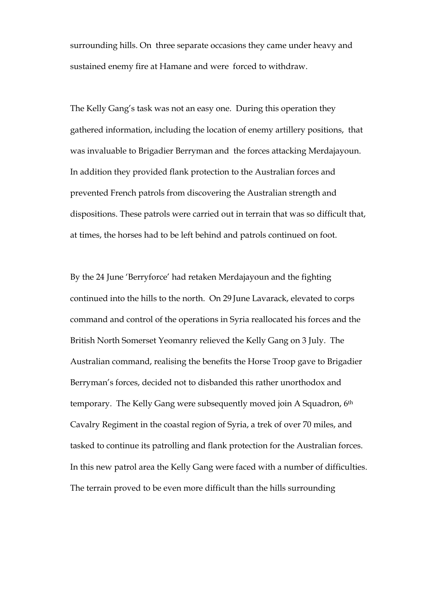surrounding hills. On three separate occasions they came under heavy and sustained enemy fire at Hamane and were forced to withdraw.

The Kelly Gang's task was not an easy one. During this operation they gathered information, including the location of enemy artillery positions, that was invaluable to Brigadier Berryman and the forces attacking Merdajayoun. In addition they provided flank protection to the Australian forces and prevented French patrols from discovering the Australian strength and dispositions. These patrols were carried out in terrain that was so difficult that, at times, the horses had to be left behind and patrols continued on foot.

By the 24 June 'Berryforce' had retaken Merdajayoun and the fighting continued into the hills to the north. On 29 June Lavarack, elevated to corps command and control of the operations in Syria reallocated his forces and the British North Somerset Yeomanry relieved the Kelly Gang on 3 July. The Australian command, realising the benefits the Horse Troop gave to Brigadier Berryman's forces, decided not to disbanded this rather unorthodox and temporary. The Kelly Gang were subsequently moved join A Squadron, 6<sup>th</sup> Cavalry Regiment in the coastal region of Syria, a trek of over 70 miles, and tasked to continue its patrolling and flank protection for the Australian forces. In this new patrol area the Kelly Gang were faced with a number of difficulties. The terrain proved to be even more difficult than the hills surrounding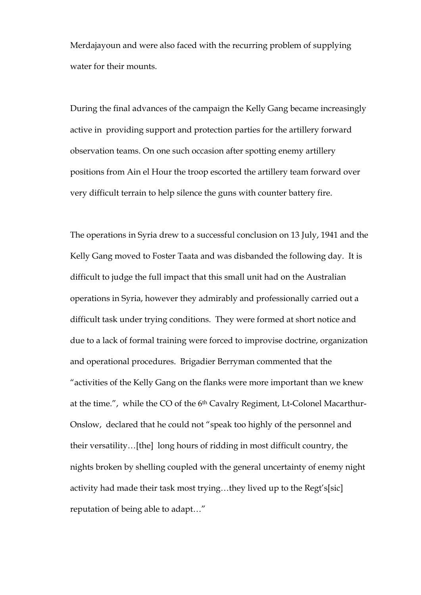Merdajayoun and were also faced with the recurring problem of supplying water for their mounts.

During the final advances of the campaign the Kelly Gang became increasingly active in providing support and protection parties for the artillery forward observation teams. On one such occasion after spotting enemy artillery positions from Ain el Hour the troop escorted the artillery team forward over very difficult terrain to help silence the guns with counter battery fire.

The operations in Syria drew to a successful conclusion on 13 July, 1941 and the Kelly Gang moved to Foster Taata and was disbanded the following day. It is difficult to judge the full impact that this small unit had on the Australian operations in Syria, however they admirably and professionally carried out a difficult task under trying conditions. They were formed at short notice and due to a lack of formal training were forced to improvise doctrine, organization and operational procedures. Brigadier Berryman commented that the "activities of the Kelly Gang on the flanks were more important than we knew at the time.", while the CO of the 6<sup>th</sup> Cavalry Regiment, Lt-Colonel Macarthur-Onslow, declared that he could not "speak too highly of the personnel and their versatility…[the] long hours of ridding in most difficult country, the nights broken by shelling coupled with the general uncertainty of enemy night activity had made their task most trying…they lived up to the Regt's[sic] reputation of being able to adapt…"